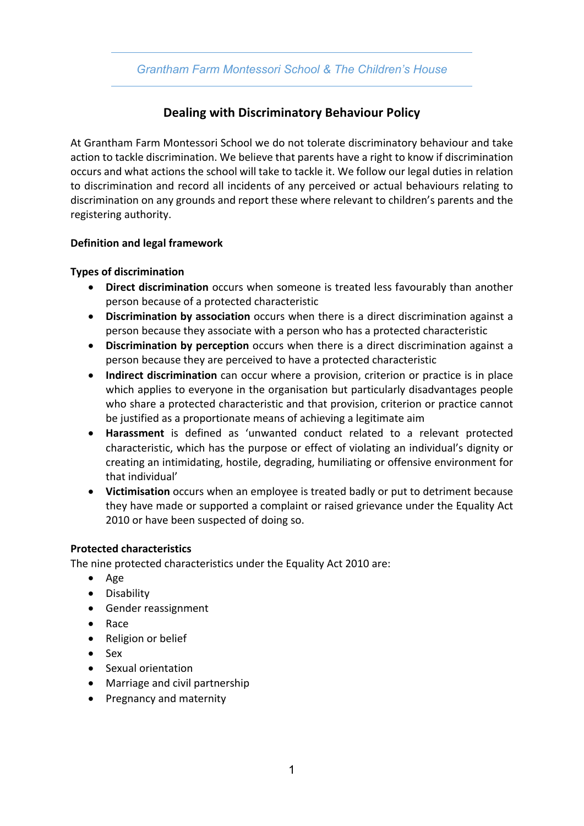## *Grantham Farm Montessori School & The Children's House*

# **Dealing with Discriminatory Behaviour Policy**

At Grantham Farm Montessori School we do not tolerate discriminatory behaviour and take action to tackle discrimination. We believe that parents have a right to know if discrimination occurs and what actions the school will take to tackle it. We follow our legal duties in relation to discrimination and record all incidents of any perceived or actual behaviours relating to discrimination on any grounds and report these where relevant to children's parents and the registering authority.

### **Definition and legal framework**

### **Types of discrimination**

- **Direct discrimination** occurs when someone is treated less favourably than another person because of a protected characteristic
- **Discrimination by association** occurs when there is a direct discrimination against a person because they associate with a person who has a protected characteristic
- **Discrimination by perception** occurs when there is a direct discrimination against a person because they are perceived to have a protected characteristic
- **Indirect discrimination** can occur where a provision, criterion or practice is in place which applies to everyone in the organisation but particularly disadvantages people who share a protected characteristic and that provision, criterion or practice cannot be justified as a proportionate means of achieving a legitimate aim
- **Harassment** is defined as 'unwanted conduct related to a relevant protected characteristic, which has the purpose or effect of violating an individual's dignity or creating an intimidating, hostile, degrading, humiliating or offensive environment for that individual'
- **Victimisation** occurs when an employee is treated badly or put to detriment because they have made or supported a complaint or raised grievance under the Equality Act 2010 or have been suspected of doing so.

### **Protected characteristics**

The nine protected characteristics under the Equality Act 2010 are:

- Age
- Disability
- Gender reassignment
- Race
- Religion or belief
- Sex
- Sexual orientation
- Marriage and civil partnership
- Pregnancy and maternity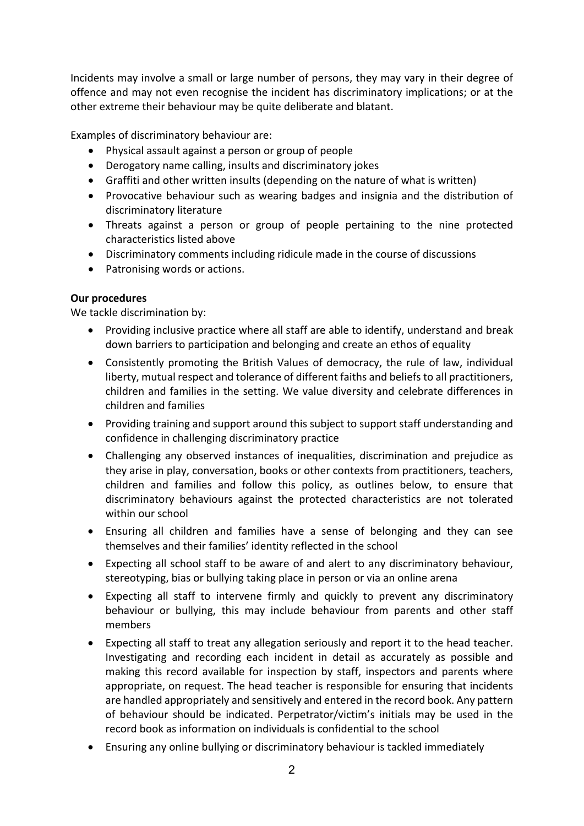Incidents may involve a small or large number of persons, they may vary in their degree of offence and may not even recognise the incident has discriminatory implications; or at the other extreme their behaviour may be quite deliberate and blatant.

Examples of discriminatory behaviour are:

- Physical assault against a person or group of people
- Derogatory name calling, insults and discriminatory jokes
- Graffiti and other written insults (depending on the nature of what is written)
- Provocative behaviour such as wearing badges and insignia and the distribution of discriminatory literature
- Threats against a person or group of people pertaining to the nine protected characteristics listed above
- Discriminatory comments including ridicule made in the course of discussions
- Patronising words or actions.

### **Our procedures**

We tackle discrimination by:

- Providing inclusive practice where all staff are able to identify, understand and break down barriers to participation and belonging and create an ethos of equality
- Consistently promoting the British Values of democracy, the rule of law, individual liberty, mutual respect and tolerance of different faiths and beliefs to all practitioners, children and families in the setting. We value diversity and celebrate differences in children and families
- Providing training and support around this subject to support staff understanding and confidence in challenging discriminatory practice
- Challenging any observed instances of inequalities, discrimination and prejudice as they arise in play, conversation, books or other contexts from practitioners, teachers, children and families and follow this policy, as outlines below, to ensure that discriminatory behaviours against the protected characteristics are not tolerated within our school
- Ensuring all children and families have a sense of belonging and they can see themselves and their families' identity reflected in the school
- Expecting all school staff to be aware of and alert to any discriminatory behaviour, stereotyping, bias or bullying taking place in person or via an online arena
- Expecting all staff to intervene firmly and quickly to prevent any discriminatory behaviour or bullying, this may include behaviour from parents and other staff members
- Expecting all staff to treat any allegation seriously and report it to the head teacher. Investigating and recording each incident in detail as accurately as possible and making this record available for inspection by staff, inspectors and parents where appropriate, on request. The head teacher is responsible for ensuring that incidents are handled appropriately and sensitively and entered in the record book. Any pattern of behaviour should be indicated. Perpetrator/victim's initials may be used in the record book as information on individuals is confidential to the school
- Ensuring any online bullying or discriminatory behaviour is tackled immediately